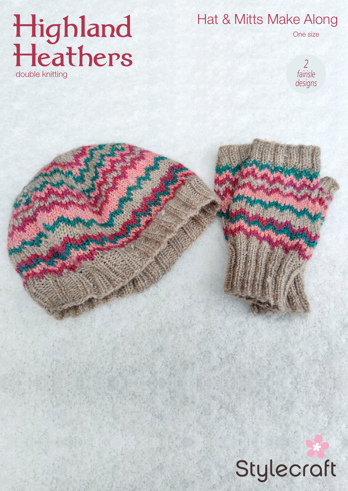# Highland<br>Heathers double knitting

Hat & Mitts Make Along



One size

# Stylecraft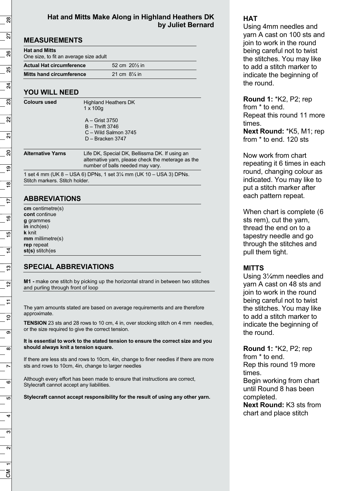#### **Hat and Mitts Make Along in Highland Heathers DK by Juliet Bernard**

| <b>Hat and Mitts</b><br>One size, to fit an average size adult     |  |                                                                                                                                          |                     |
|--------------------------------------------------------------------|--|------------------------------------------------------------------------------------------------------------------------------------------|---------------------|
| <b>Actual Hat circumference</b><br><b>Mitts hand circumference</b> |  | 52 cm 201/ <sub>2</sub> in<br>21 cm $8\frac{1}{4}$ in                                                                                    |                     |
|                                                                    |  |                                                                                                                                          | <b>Colours used</b> |
|                                                                    |  | A - Grist 3750<br>$B -$ Thrift 3746<br>C - Wild Salmon 3745<br>D - Bracken 3747                                                          |                     |
| <b>Alternative Yarns</b>                                           |  | Life DK, Special DK, Bellissma DK. If using an<br>alternative yarn, please check the meterage as the<br>number of balls needed may vary. |                     |

1 set 4 mm (UK 8 – USA 6) DPNs, 1 set 3¼ mm (UK 10 – USA 3) DPNs. Stitch markers. Stitch holder.

# **ABBREVIATIONS**

**cm** centimetre(s) **cont** continue **g** grammes **in** inch(es) **k** knit **mm** millimetre(s) **rep** repeat **st(s)** stitch(es

# **SPECIAL ABBREVIATIONS**

**M1 -** make one stitch by picking up the horizontal strand in between two stitches and purling through front of loop

The yarn amounts stated are based on average requirements and are therefore approximate.

**TENSION** 23 sts and 28 rows to 10 cm, 4 in, over stocking stitch on 4 mm needles, or the size required to give the correct tension.

**It is essential to work to the stated tension to ensure the correct size and you should always knit a tension square.** 

If there are less sts and rows to 10cm, 4in, change to finer needles if there are more sts and rows to 10cm, 4in, change to larger needles

Although every effort has been made to ensure that instructions are correct, Stylecraft cannot accept any liabilities.

**Stylecraft cannot accept responsibility for the result of using any other yarn.** 

## **HAT**

Using 4mm needles and yarn A cast on 100 sts and join to work in the round being careful not to twist the stitches. You may like to add a stitch marker to indicate the beginning of the round.

**Round 1:** \*K2, P2; rep from \* to end. Repeat this round 11 more times.

**Next Round:** \*K5, M1; rep from \* to end. 120 sts

Now work from chart repeating it 6 times in each round, changing colour as indicated. You may like to put a stitch marker after each pattern repeat.

When chart is complete (6 sts rem), cut the yarn, thread the end on to a tapestry needle and go through the stitches and pull them tight.

### **MITTS**

Using 3¼mm needles and yarn A cast on 48 sts and join to work in the round being careful not to twist the stitches. You may like to add a stitch marker to indicate the beginning of the round.

**Round 1:** \*K2, P2; rep from \* to end. Rep this round 19 more times.

Begin working from chart until Round 8 has been completed.

**Next Round:** K3 sts from chart and place stitch